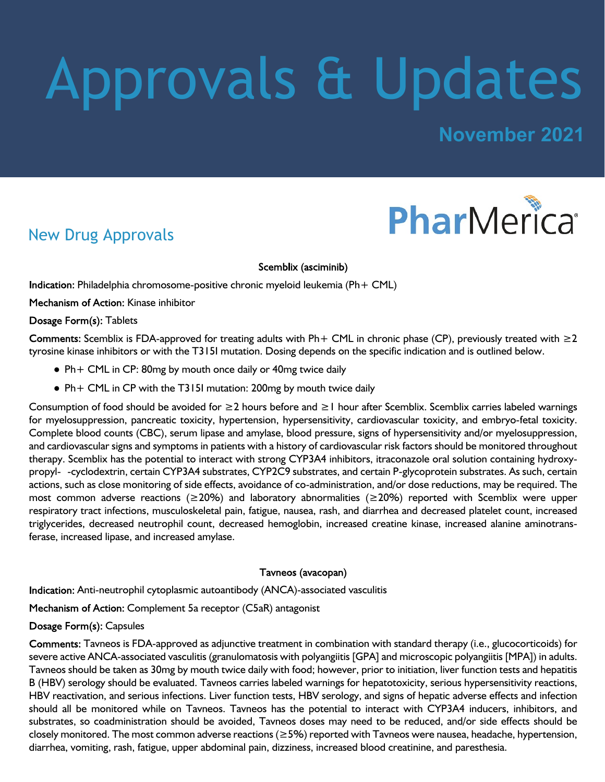# Approvals & Updates

## **November 2021**



## New Drug Approvals

Scemblix (asciminib)

Indication: Philadelphia chromosome-positive chronic myeloid leukemia (Ph + CML)

Mechanism of Action: Kinase inhibitor

#### Dosage Form(s): Tablets

Comments: Scemblix is FDA-approved for treating adults with Ph+ CML in chronic phase (CP), previously treated with  $\geq 2$ tyrosine kinase inhibitors or with the T315I mutation. Dosing depends on the specific indication and is outlined below.

- Ph+ CML in CP: 80mg by mouth once daily or 40mg twice daily
- Ph+ CML in CP with the T315I mutation: 200mg by mouth twice daily

Consumption of food should be avoided for ≥2 hours before and ≥1 hour after Scemblix. Scemblix carries labeled warnings for myelosuppression, pancreatic toxicity, hypertension, hypersensitivity, cardiovascular toxicity, and embryo-fetal toxicity. Complete blood counts (CBC), serum lipase and amylase, blood pressure, signs of hypersensitivity and/or myelosuppression, and cardiovascular signs and symptoms in patients with a history of cardiovascular risk factors should be monitored throughout therapy. Scemblix has the potential to interact with strong CYP3A4 inhibitors, itraconazole oral solution containing hydroxypropyl- -cyclodextrin, certain CYP3A4 substrates, CYP2C9 substrates, and certain P-glycoprotein substrates. As such, certain actions, such as close monitoring of side effects, avoidance of co-administration, and/or dose reductions, may be required. The most common adverse reactions (≥20%) and laboratory abnormalities (≥20%) reported with Scemblix were upper respiratory tract infections, musculoskeletal pain, fatigue, nausea, rash, and diarrhea and decreased platelet count, increased triglycerides, decreased neutrophil count, decreased hemoglobin, increased creatine kinase, increased alanine aminotransferase, increased lipase, and increased amylase.

#### Tavneos (avacopan)

Indication: Anti-neutrophil cytoplasmic autoantibody (ANCA)-associated vasculitis

Mechanism of Action: Complement 5a receptor (C5aR) antagonist

#### Dosage Form(s): Capsules

Comments: Tavneos is FDA-approved as adjunctive treatment in combination with standard therapy (i.e., glucocorticoids) for severe active ANCA-associated vasculitis (granulomatosis with polyangiitis [GPA] and microscopic polyangiitis [MPA]) in adults. Tavneos should be taken as 30mg by mouth twice daily with food; however, prior to initiation, liver function tests and hepatitis B (HBV) serology should be evaluated. Tavneos carries labeled warnings for hepatotoxicity, serious hypersensitivity reactions, HBV reactivation, and serious infections. Liver function tests, HBV serology, and signs of hepatic adverse effects and infection should all be monitored while on Tavneos. Tavneos has the potential to interact with CYP3A4 inducers, inhibitors, and substrates, so coadministration should be avoided, Tavneos doses may need to be reduced, and/or side effects should be closely monitored. The most common adverse reactions ( $\geq$ 5%) reported with Tavneos were nausea, headache, hypertension, diarrhea, vomiting, rash, fatigue, upper abdominal pain, dizziness, increased blood creatinine, and paresthesia.